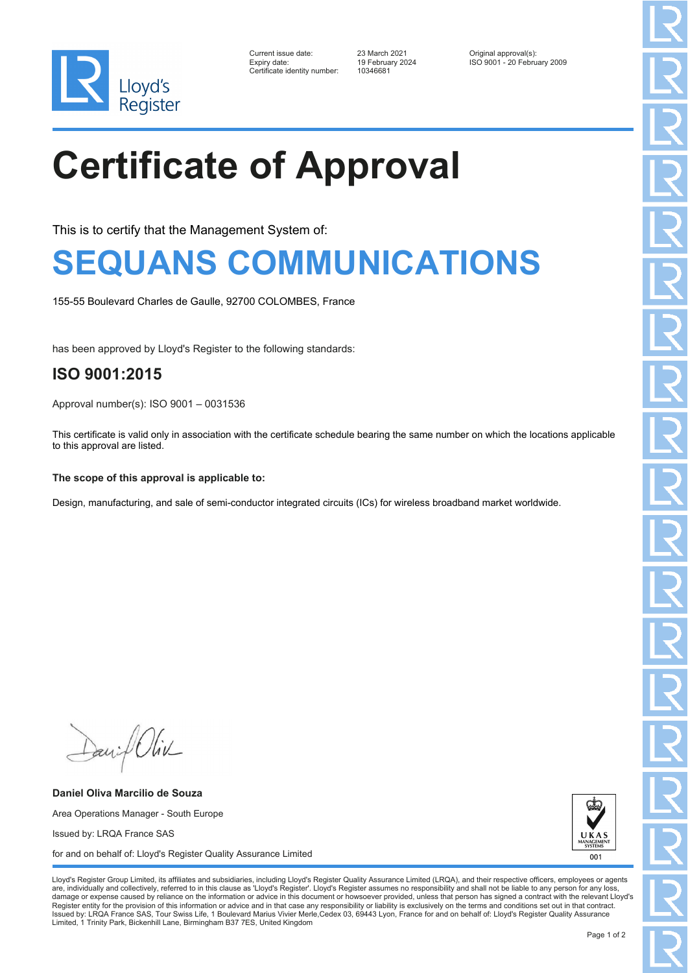

| Current issue date:         |
|-----------------------------|
| Expiry date:                |
| Certificate identitv number |

Certificate identity number: 10346681

Current issue date: 23 March 2021 Original approval(s): Expiry date: 19 February 2024 ISO 9001 - 20 February 2009

# **Certificate of Approval**

This is to certify that the Management System of:

### **SEQUANS COMMUNICATIONS**

155-55 Boulevard Charles de Gaulle, 92700 COLOMBES, France

has been approved by Lloyd's Register to the following standards:

### **ISO 9001:2015**

Approval number(s): ISO 9001 – 0031536

This certificate is valid only in association with the certificate schedule bearing the same number on which the locations applicable to this approval are listed.

#### **The scope of this approval is applicable to:**

Design, manufacturing, and sale of semi-conductor integrated circuits (ICs) for wireless broadband market worldwide.

Daniel Oliv

**Daniel Oliva Marcilio de Souza** Area Operations Manager - South Europe Issued by: LRQA France SAS for and on behalf of: Lloyd's Register Quality Assurance Limited



Lloyd's Register Group Limited, its affiliates and subsidiaries, including Lloyd's Register Quality Assurance Limited (LRQA), and their respective officers, employees or agents are, individually and collectively, referred to in this clause as 'Lloyd's Register'. Lloyd's Register assumes no responsibility and shall not be liable to any person for any los damage or expense caused by reliance on the information or advice in this document or howsoever provided, unless that person has signed a contract with the relevant Lloyd's<br>Register entity for the provision of this informa Issued by: LRQA France SAS, Tour Swiss Life, 1 Boulevard Marius Vivier Merle,Cedex 03, 69443 Lyon, France for and on behalf of: Lloyd's Register Quality Assurance Limited, 1 Trinity Park, Bickenhill Lane, Birmingham B37 7ES, United Kingdom